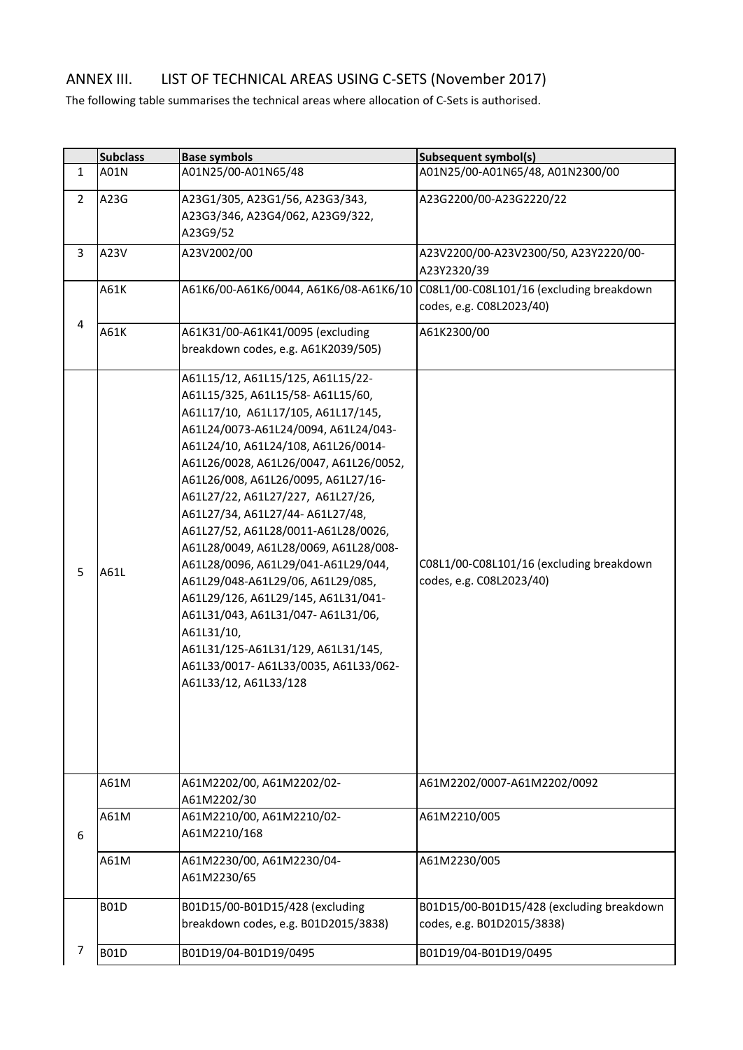## ANNEX III. LIST OF TECHNICAL AREAS USING C-SETS (November 2017)

The following table summarises the technical areas where allocation of C-Sets is authorised.

|                | <b>Subclass</b> | <b>Base symbols</b>                                                                                                                                                                                                                                                                                                                                                                                                                                                                                                                                                                                                                                                                                               | <b>Subsequent symbol(s)</b>                                             |
|----------------|-----------------|-------------------------------------------------------------------------------------------------------------------------------------------------------------------------------------------------------------------------------------------------------------------------------------------------------------------------------------------------------------------------------------------------------------------------------------------------------------------------------------------------------------------------------------------------------------------------------------------------------------------------------------------------------------------------------------------------------------------|-------------------------------------------------------------------------|
| $\mathbf{1}$   | A01N            | A01N25/00-A01N65/48                                                                                                                                                                                                                                                                                                                                                                                                                                                                                                                                                                                                                                                                                               | A01N25/00-A01N65/48, A01N2300/00                                        |
| $\overline{2}$ | A23G            | A23G1/305, A23G1/56, A23G3/343,<br>A23G3/346, A23G4/062, A23G9/322,<br>A23G9/52                                                                                                                                                                                                                                                                                                                                                                                                                                                                                                                                                                                                                                   | A23G2200/00-A23G2220/22                                                 |
| $\overline{3}$ | A23V            | A23V2002/00                                                                                                                                                                                                                                                                                                                                                                                                                                                                                                                                                                                                                                                                                                       | A23V2200/00-A23V2300/50, A23Y2220/00-<br>A23Y2320/39                    |
|                | A61K            | A61K6/00-A61K6/0044, A61K6/08-A61K6/10                                                                                                                                                                                                                                                                                                                                                                                                                                                                                                                                                                                                                                                                            | C08L1/00-C08L101/16 (excluding breakdown<br>codes, e.g. C08L2023/40)    |
| 4              | A61K            | A61K31/00-A61K41/0095 (excluding<br>breakdown codes, e.g. A61K2039/505)                                                                                                                                                                                                                                                                                                                                                                                                                                                                                                                                                                                                                                           | A61K2300/00                                                             |
| 5              | A61L            | A61L15/12, A61L15/125, A61L15/22-<br>A61L15/325, A61L15/58-A61L15/60,<br>A61L17/10, A61L17/105, A61L17/145,<br>A61L24/0073-A61L24/0094, A61L24/043-<br>A61L24/10, A61L24/108, A61L26/0014-<br>A61L26/0028, A61L26/0047, A61L26/0052,<br>A61L26/008, A61L26/0095, A61L27/16-<br>A61L27/22, A61L27/227, A61L27/26,<br>A61L27/34, A61L27/44-A61L27/48,<br>A61L27/52, A61L28/0011-A61L28/0026,<br>A61L28/0049, A61L28/0069, A61L28/008-<br>A61L28/0096, A61L29/041-A61L29/044,<br>A61L29/048-A61L29/06, A61L29/085,<br>A61L29/126, A61L29/145, A61L31/041-<br>A61L31/043, A61L31/047- A61L31/06,<br>A61L31/10,<br>A61L31/125-A61L31/129, A61L31/145,<br>A61L33/0017-A61L33/0035, A61L33/062-<br>A61L33/12, A61L33/128 | C08L1/00-C08L101/16 (excluding breakdown<br>codes, e.g. C08L2023/40)    |
|                | A61M            | A61M2202/00, A61M2202/02-<br>A61M2202/30                                                                                                                                                                                                                                                                                                                                                                                                                                                                                                                                                                                                                                                                          | A61M2202/0007-A61M2202/0092                                             |
| 6              | A61M            | A61M2210/00, A61M2210/02-<br>A61M2210/168                                                                                                                                                                                                                                                                                                                                                                                                                                                                                                                                                                                                                                                                         | A61M2210/005                                                            |
|                | A61M            | A61M2230/00, A61M2230/04-<br>A61M2230/65                                                                                                                                                                                                                                                                                                                                                                                                                                                                                                                                                                                                                                                                          | A61M2230/005                                                            |
|                | <b>B01D</b>     | B01D15/00-B01D15/428 (excluding<br>breakdown codes, e.g. B01D2015/3838)                                                                                                                                                                                                                                                                                                                                                                                                                                                                                                                                                                                                                                           | B01D15/00-B01D15/428 (excluding breakdown<br>codes, e.g. B01D2015/3838) |
| 7              | <b>B01D</b>     | B01D19/04-B01D19/0495                                                                                                                                                                                                                                                                                                                                                                                                                                                                                                                                                                                                                                                                                             | B01D19/04-B01D19/0495                                                   |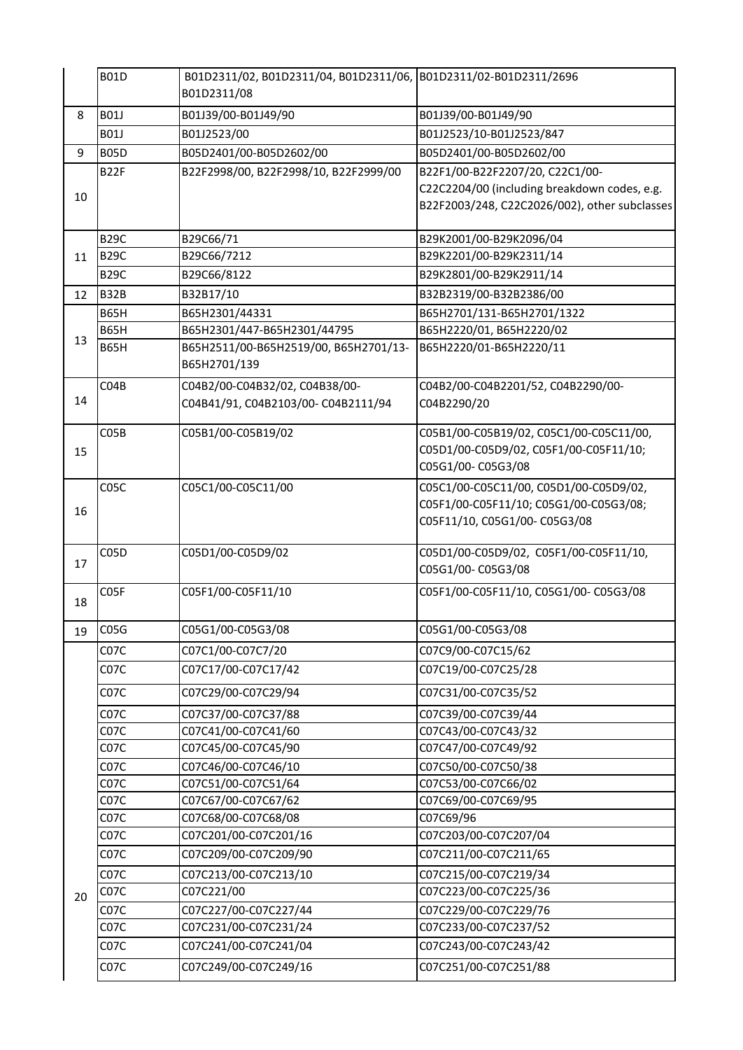|    | <b>B01D</b>       | B01D2311/02, B01D2311/04, B01D2311/06, B01D2311/02-B01D2311/2696 |                                               |
|----|-------------------|------------------------------------------------------------------|-----------------------------------------------|
|    |                   | B01D2311/08                                                      |                                               |
| 8  | <b>B01J</b>       | B01J39/00-B01J49/90                                              | B01J39/00-B01J49/90                           |
|    | <b>B01J</b>       | B01J2523/00                                                      | B01J2523/10-B01J2523/847                      |
| 9  | <b>B05D</b>       | B05D2401/00-B05D2602/00                                          | B05D2401/00-B05D2602/00                       |
|    | <b>B22F</b>       | B22F2998/00, B22F2998/10, B22F2999/00                            | B22F1/00-B22F2207/20, C22C1/00-               |
| 10 |                   |                                                                  | C22C2204/00 (including breakdown codes, e.g.  |
|    |                   |                                                                  | B22F2003/248, C22C2026/002), other subclasses |
|    | <b>B29C</b>       | B29C66/71                                                        | B29K2001/00-B29K2096/04                       |
| 11 | <b>B29C</b>       | B29C66/7212                                                      | B29K2201/00-B29K2311/14                       |
|    | <b>B29C</b>       | B29C66/8122                                                      | B29K2801/00-B29K2911/14                       |
| 12 | <b>B32B</b>       | B32B17/10                                                        | B32B2319/00-B32B2386/00                       |
|    | <b>B65H</b>       | B65H2301/44331                                                   | B65H2701/131-B65H2701/1322                    |
|    | <b>B65H</b>       | B65H2301/447-B65H2301/44795                                      | B65H2220/01, B65H2220/02                      |
| 13 | <b>B65H</b>       | B65H2511/00-B65H2519/00, B65H2701/13-<br>B65H2701/139            | B65H2220/01-B65H2220/11                       |
|    | CO4B              | C04B2/00-C04B32/02, C04B38/00-                                   | C04B2/00-C04B2201/52, C04B2290/00-            |
| 14 |                   | C04B41/91, C04B2103/00-C04B2111/94                               | C04B2290/20                                   |
|    | CO5B              | C05B1/00-C05B19/02                                               | C05B1/00-C05B19/02, C05C1/00-C05C11/00,       |
| 15 |                   |                                                                  | C05D1/00-C05D9/02, C05F1/00-C05F11/10;        |
|    |                   |                                                                  | C05G1/00-C05G3/08                             |
|    | C <sub>05</sub> C | C05C1/00-C05C11/00                                               | C05C1/00-C05C11/00, C05D1/00-C05D9/02,        |
| 16 |                   |                                                                  | C05F1/00-C05F11/10; C05G1/00-C05G3/08;        |
|    |                   |                                                                  | C05F11/10, C05G1/00- C05G3/08                 |
|    | C05D              | C05D1/00-C05D9/02                                                | C05D1/00-C05D9/02, C05F1/00-C05F11/10,        |
| 17 |                   |                                                                  | C05G1/00-C05G3/08                             |
| 18 | C05F              | C05F1/00-C05F11/10                                               | C05F1/00-C05F11/10, C05G1/00- C05G3/08        |
| 19 | C <sub>05</sub> G | C05G1/00-C05G3/08                                                | C05G1/00-C05G3/08                             |
|    | C07C              | C07C1/00-C07C7/20                                                | C07C9/00-C07C15/62                            |
|    | C07C              | C07C17/00-C07C17/42                                              | C07C19/00-C07C25/28                           |
|    | C07C              | C07C29/00-C07C29/94                                              | C07C31/00-C07C35/52                           |
|    | C07C              | C07C37/00-C07C37/88                                              | C07C39/00-C07C39/44                           |
|    | CO7C              | C07C41/00-C07C41/60                                              | C07C43/00-C07C43/32                           |
|    | C07C              | C07C45/00-C07C45/90                                              | C07C47/00-C07C49/92                           |
|    | C <sub>07</sub> C | C07C46/00-C07C46/10                                              | C07C50/00-C07C50/38                           |
|    | C07C              | C07C51/00-C07C51/64                                              | C07C53/00-C07C66/02                           |
|    | CO7C              | C07C67/00-C07C67/62                                              | C07C69/00-C07C69/95                           |
|    | C07C              | C07C68/00-C07C68/08                                              | C07C69/96                                     |
|    | C07C              | C07C201/00-C07C201/16                                            | C07C203/00-C07C207/04                         |
|    | C07C              | C07C209/00-C07C209/90                                            | C07C211/00-C07C211/65                         |
| 20 | C <sub>07</sub> C | C07C213/00-C07C213/10                                            | C07C215/00-C07C219/34                         |
|    | C <sub>07</sub> C | C07C221/00                                                       | C07C223/00-C07C225/36                         |
|    | CO7C              | C07C227/00-C07C227/44                                            | C07C229/00-C07C229/76                         |
|    | C07C              | C07C231/00-C07C231/24                                            | C07C233/00-C07C237/52                         |
|    | C07C              | C07C241/00-C07C241/04                                            | C07C243/00-C07C243/42                         |
|    | C07C              | C07C249/00-C07C249/16                                            | C07C251/00-C07C251/88                         |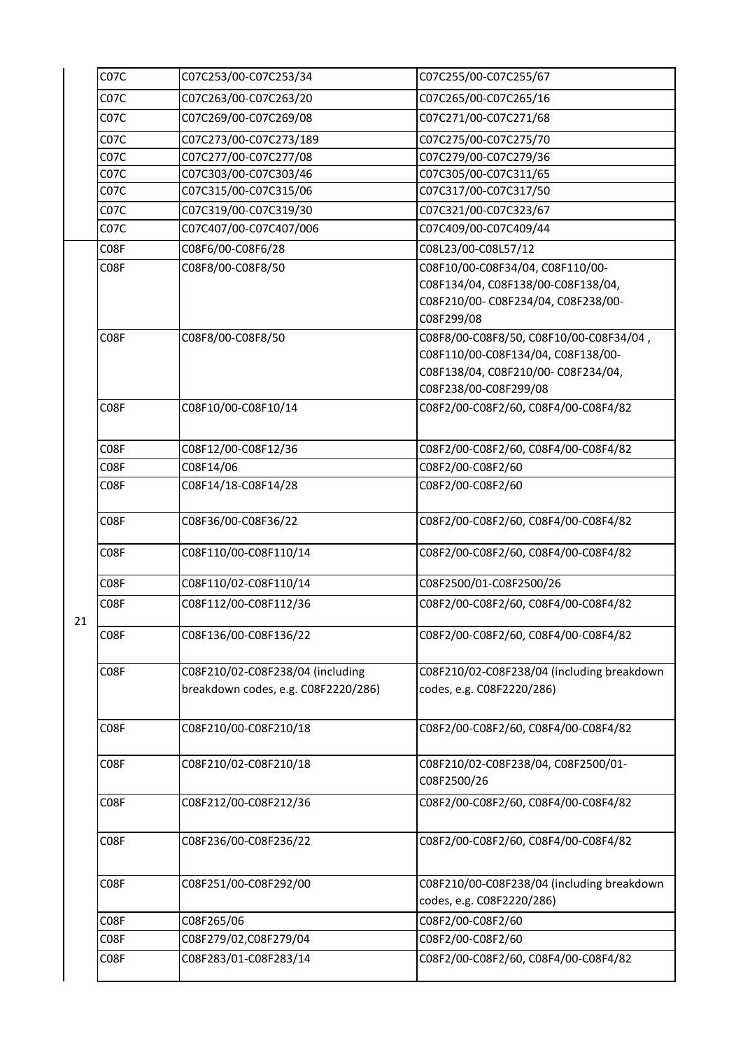|    | C <sub>07</sub> C | C07C253/00-C07C253/34               | C07C255/00-C07C255/67                                                   |
|----|-------------------|-------------------------------------|-------------------------------------------------------------------------|
|    | C <sub>07</sub> C | C07C263/00-C07C263/20               | C07C265/00-C07C265/16                                                   |
|    | C <sub>07</sub> C | C07C269/00-C07C269/08               | C07C271/00-C07C271/68                                                   |
|    | C <sub>07</sub> C | C07C273/00-C07C273/189              | C07C275/00-C07C275/70                                                   |
|    | C <sub>07</sub> C | C07C277/00-C07C277/08               | C07C279/00-C07C279/36                                                   |
|    | C <sub>07</sub> C | C07C303/00-C07C303/46               | C07C305/00-C07C311/65                                                   |
|    | C <sub>07</sub> C | C07C315/00-C07C315/06               | C07C317/00-C07C317/50                                                   |
|    | C <sub>07</sub> C | C07C319/00-C07C319/30               | C07C321/00-C07C323/67                                                   |
|    | C <sub>07</sub> C | C07C407/00-C07C407/006              | C07C409/00-C07C409/44                                                   |
|    | C08F              | C08F6/00-C08F6/28                   | C08L23/00-C08L57/12                                                     |
|    | C08F              | C08F8/00-C08F8/50                   | C08F10/00-C08F34/04, C08F110/00-                                        |
|    |                   |                                     | C08F134/04, C08F138/00-C08F138/04,                                      |
|    |                   |                                     | C08F210/00-C08F234/04, C08F238/00-                                      |
|    |                   |                                     | C08F299/08                                                              |
|    | C <sub>0</sub> 8F | C08F8/00-C08F8/50                   | C08F8/00-C08F8/50, C08F10/00-C08F34/04,                                 |
|    |                   |                                     | C08F110/00-C08F134/04, C08F138/00-                                      |
|    |                   |                                     | C08F138/04, C08F210/00-C08F234/04,                                      |
|    |                   |                                     | C08F238/00-C08F299/08                                                   |
|    | C <sub>0</sub> 8F | C08F10/00-C08F10/14                 | C08F2/00-C08F2/60, C08F4/00-C08F4/82                                    |
|    |                   |                                     |                                                                         |
|    | C <sub>0</sub> 8F | C08F12/00-C08F12/36                 | C08F2/00-C08F2/60, C08F4/00-C08F4/82                                    |
|    | C <sub>0</sub> 8F | C08F14/06                           | C08F2/00-C08F2/60                                                       |
|    | C <sub>0</sub> 8F | C08F14/18-C08F14/28                 | C08F2/00-C08F2/60                                                       |
|    | C <sub>0</sub> 8F | C08F36/00-C08F36/22                 | C08F2/00-C08F2/60, C08F4/00-C08F4/82                                    |
|    | C <sub>0</sub> 8F | C08F110/00-C08F110/14               | C08F2/00-C08F2/60, C08F4/00-C08F4/82                                    |
|    | C <sub>0</sub> 8F | C08F110/02-C08F110/14               | C08F2500/01-C08F2500/26                                                 |
|    | C08F              | C08F112/00-C08F112/36               | C08F2/00-C08F2/60, C08F4/00-C08F4/82                                    |
| 21 |                   |                                     |                                                                         |
|    | C <sub>0</sub> 8F | C08F136/00-C08F136/22               | C08F2/00-C08F2/60, C08F4/00-C08F4/82                                    |
|    | C <sub>0</sub> 8F | C08F210/02-C08F238/04 (including    | C08F210/02-C08F238/04 (including breakdown                              |
|    |                   | breakdown codes, e.g. C08F2220/286) | codes, e.g. C08F2220/286)                                               |
|    |                   |                                     |                                                                         |
|    | C <sub>0</sub> 8F | C08F210/00-C08F210/18               | C08F2/00-C08F2/60, C08F4/00-C08F4/82                                    |
|    |                   |                                     |                                                                         |
|    | C08F              | C08F210/02-C08F210/18               | C08F210/02-C08F238/04, C08F2500/01-<br>C08F2500/26                      |
|    |                   |                                     |                                                                         |
|    | C08F              | C08F212/00-C08F212/36               | C08F2/00-C08F2/60, C08F4/00-C08F4/82                                    |
|    | C08F              | C08F236/00-C08F236/22               | C08F2/00-C08F2/60, C08F4/00-C08F4/82                                    |
|    |                   |                                     |                                                                         |
|    | C08F              | C08F251/00-C08F292/00               | C08F210/00-C08F238/04 (including breakdown<br>codes, e.g. C08F2220/286) |
|    | C08F              | C08F265/06                          | C08F2/00-C08F2/60                                                       |
|    | C08F              | C08F279/02,C08F279/04               | C08F2/00-C08F2/60                                                       |
|    | C <sub>0</sub> 8F | C08F283/01-C08F283/14               | C08F2/00-C08F2/60, C08F4/00-C08F4/82                                    |
|    |                   |                                     |                                                                         |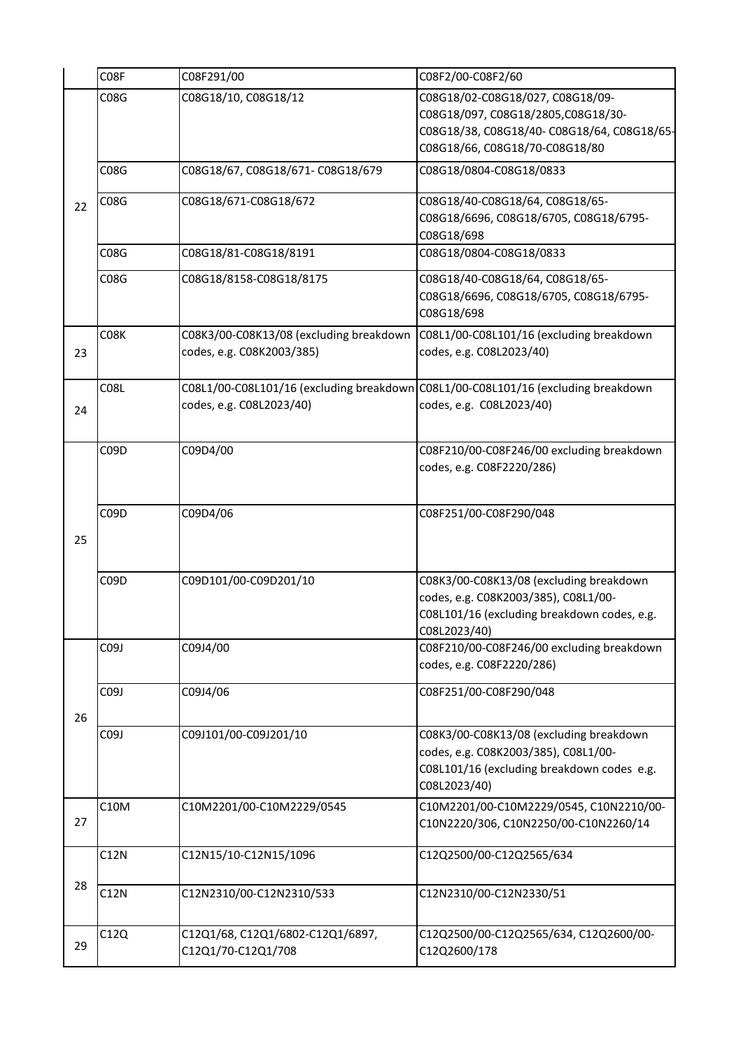|    | C08F        | C08F291/00                               | C08F2/00-C08F2/60                                          |
|----|-------------|------------------------------------------|------------------------------------------------------------|
|    | <b>C08G</b> | C08G18/10, C08G18/12                     | C08G18/02-C08G18/027, C08G18/09-                           |
|    |             |                                          | C08G18/097, C08G18/2805, C08G18/30-                        |
|    |             |                                          | C08G18/38, C08G18/40-C08G18/64, C08G18/65-                 |
|    |             |                                          | C08G18/66, C08G18/70-C08G18/80                             |
|    | <b>C08G</b> | C08G18/67, C08G18/671- C08G18/679        | C08G18/0804-C08G18/0833                                    |
|    |             |                                          |                                                            |
| 22 | C08G        | C08G18/671-C08G18/672                    | C08G18/40-C08G18/64, C08G18/65-                            |
|    |             |                                          | C08G18/6696, C08G18/6705, C08G18/6795-                     |
|    |             |                                          | C08G18/698                                                 |
|    | C08G        | C08G18/81-C08G18/8191                    | C08G18/0804-C08G18/0833                                    |
|    | C08G        | C08G18/8158-C08G18/8175                  | C08G18/40-C08G18/64, C08G18/65-                            |
|    |             |                                          | C08G18/6696, C08G18/6705, C08G18/6795-                     |
|    |             |                                          | C08G18/698                                                 |
|    | C08K        | C08K3/00-C08K13/08 (excluding breakdown  | C08L1/00-C08L101/16 (excluding breakdown                   |
| 23 |             | codes, e.g. C08K2003/385)                | codes, e.g. C08L2023/40)                                   |
|    |             |                                          |                                                            |
|    | <b>C08L</b> | C08L1/00-C08L101/16 (excluding breakdown | C08L1/00-C08L101/16 (excluding breakdown                   |
| 24 |             | codes, e.g. C08L2023/40)                 | codes, e.g. C08L2023/40)                                   |
|    |             |                                          |                                                            |
|    | C09D        | C09D4/00                                 | C08F210/00-C08F246/00 excluding breakdown                  |
|    |             |                                          | codes, e.g. C08F2220/286)                                  |
|    |             |                                          |                                                            |
|    |             |                                          |                                                            |
|    | C09D        | C09D4/06                                 | C08F251/00-C08F290/048                                     |
| 25 |             |                                          |                                                            |
|    |             |                                          |                                                            |
|    | C09D        | C09D101/00-C09D201/10                    | C08K3/00-C08K13/08 (excluding breakdown                    |
|    |             |                                          | codes, e.g. C08K2003/385), C08L1/00-                       |
|    |             |                                          | C08L101/16 (excluding breakdown codes, e.g.                |
|    |             |                                          | C08L2023/40)                                               |
|    | C09J        | C09J4/00                                 | C08F210/00-C08F246/00 excluding breakdown                  |
|    |             |                                          | codes, e.g. C08F2220/286)                                  |
|    | C09J        | C09J4/06                                 | C08F251/00-C08F290/048                                     |
|    |             |                                          |                                                            |
| 26 |             |                                          |                                                            |
|    | C09J        | C09J101/00-C09J201/10                    | C08K3/00-C08K13/08 (excluding breakdown                    |
|    |             |                                          | codes, e.g. C08K2003/385), C08L1/00-                       |
|    |             |                                          | C08L101/16 (excluding breakdown codes e.g.<br>C08L2023/40) |
|    | C10M        | C10M2201/00-C10M2229/0545                | C10M2201/00-C10M2229/0545, C10N2210/00-                    |
| 27 |             |                                          | C10N2220/306, C10N2250/00-C10N2260/14                      |
|    |             |                                          |                                                            |
|    | C12N        | C12N15/10-C12N15/1096                    | C12Q2500/00-C12Q2565/634                                   |
|    |             |                                          |                                                            |
| 28 | C12N        | C12N2310/00-C12N2310/533                 | C12N2310/00-C12N2330/51                                    |
|    |             |                                          |                                                            |
|    | C12Q        | C12Q1/68, C12Q1/6802-C12Q1/6897,         | C12Q2500/00-C12Q2565/634, C12Q2600/00-                     |
| 29 |             | C12Q1/70-C12Q1/708                       | C12Q2600/178                                               |
|    |             |                                          |                                                            |